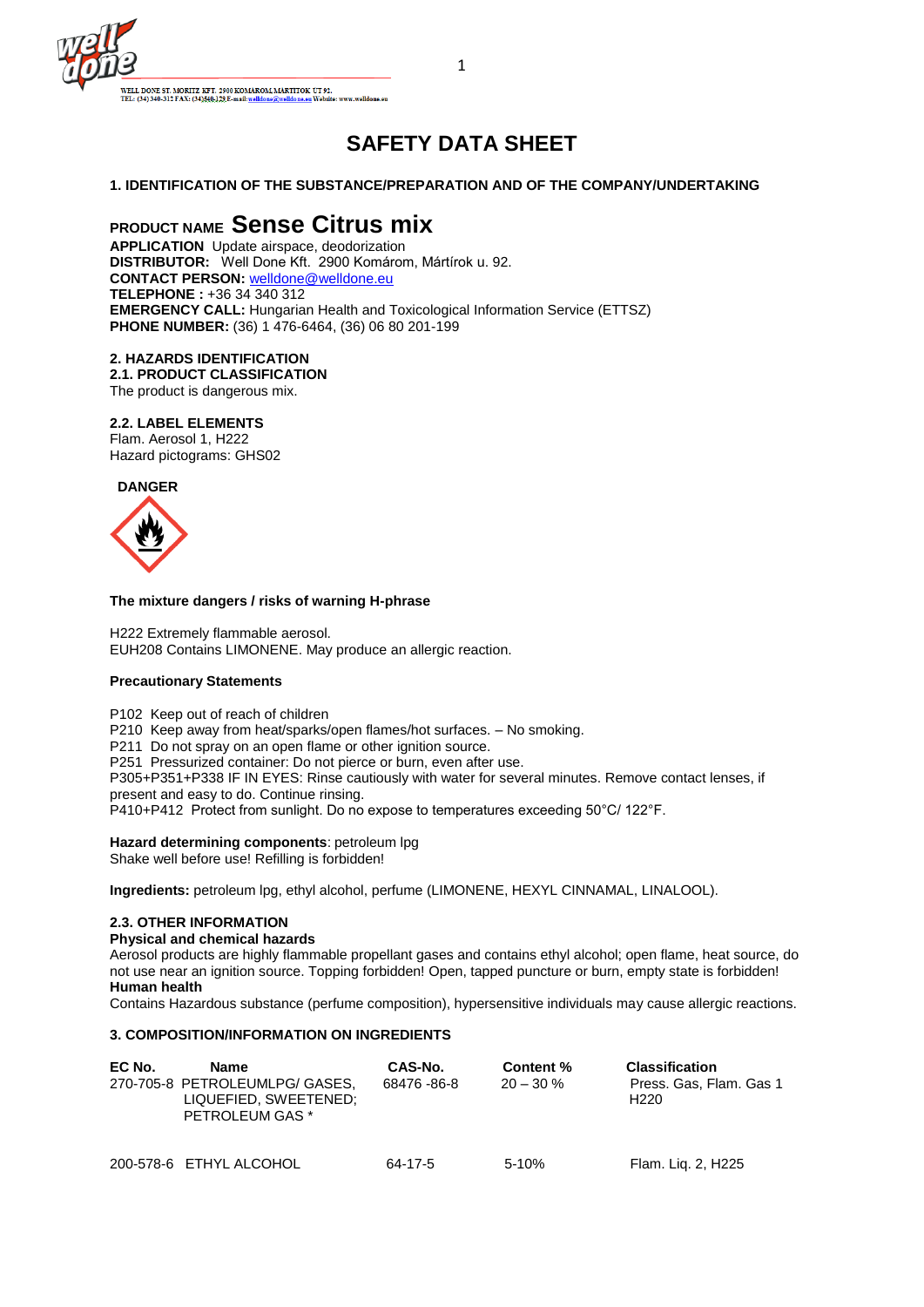

# **SAFETY DATA SHEET**

## **1. IDENTIFICATION OF THE SUBSTANCE/PREPARATION AND OF THE COMPANY/UNDERTAKING**

# **PRODUCT NAME Sense Citrus mix**

**APPLICATION** Update airspace, deodorization **DISTRIBUTOR:** Well Done Kft. 2900 Komárom, Mártírok u. 92. **CONTACT PERSON:** [welldone@welldone.eu](mailto:welldone@welldone.eu) **TELEPHONE :** +36 34 340 312 **EMERGENCY CALL:** Hungarian Health and Toxicological Information Service (ETTSZ) **PHONE NUMBER:** (36) 1 476-6464, (36) 06 80 201-199

#### **2. HAZARDS IDENTIFICATION**

**2.1. PRODUCT CLASSIFICATION** The product is dangerous mix.

#### **2.2. LABEL ELEMENTS**

Flam. Aerosol 1, H222 Hazard pictograms: GHS02



#### **The mixture dangers / risks of warning H-phrase**

H222 Extremely flammable aerosol. EUH208 Contains LIMONENE. May produce an allergic reaction.

#### **Precautionary Statements**

P102 Keep out of reach of children

P210 Keep away from heat/sparks/open flames/hot surfaces. – No smoking.

P211 Do not spray on an open flame or other ignition source.

P251 Pressurized container: Do not pierce or burn, even after use.

P305+P351+P338 IF IN EYES: Rinse cautiously with water for several minutes. Remove contact lenses, if present and easy to do. Continue rinsing.

P410+P412 Protect from sunlight. Do no expose to temperatures exceeding 50°C/ 122°F.

**Hazard determining components**: petroleum lpg Shake well before use! Refilling is forbidden!

**Ingredients:** petroleum lpg, ethyl alcohol, perfume (LIMONENE, HEXYL CINNAMAL, LINALOOL).

#### **2.3. OTHER INFORMATION**

**Physical and chemical hazards** 

Aerosol products are highly flammable propellant gases and contains ethyl alcohol; open flame, heat source, do not use near an ignition source. Topping forbidden! Open, tapped puncture or burn, empty state is forbidden! **Human health** 

Contains Hazardous substance (perfume composition), hypersensitive individuals may cause allergic reactions.

#### **3. COMPOSITION/INFORMATION ON INGREDIENTS**

| EC No. | Name                                                                       | CAS-No.        | Content %    | <b>Classification</b>                       |
|--------|----------------------------------------------------------------------------|----------------|--------------|---------------------------------------------|
|        | 270-705-8 PETROLEUMLPG/ GASES,<br>LIQUEFIED, SWEETENED;<br>PETROLEUM GAS * | 68476 - 86 - 8 | $20 - 30 \%$ | Press. Gas, Flam. Gas 1<br>H <sub>220</sub> |
|        | 200-578-6 ETHYL ALCOHOL                                                    | 64-17-5        | $5-10%$      | Flam. Lig. 2, H225                          |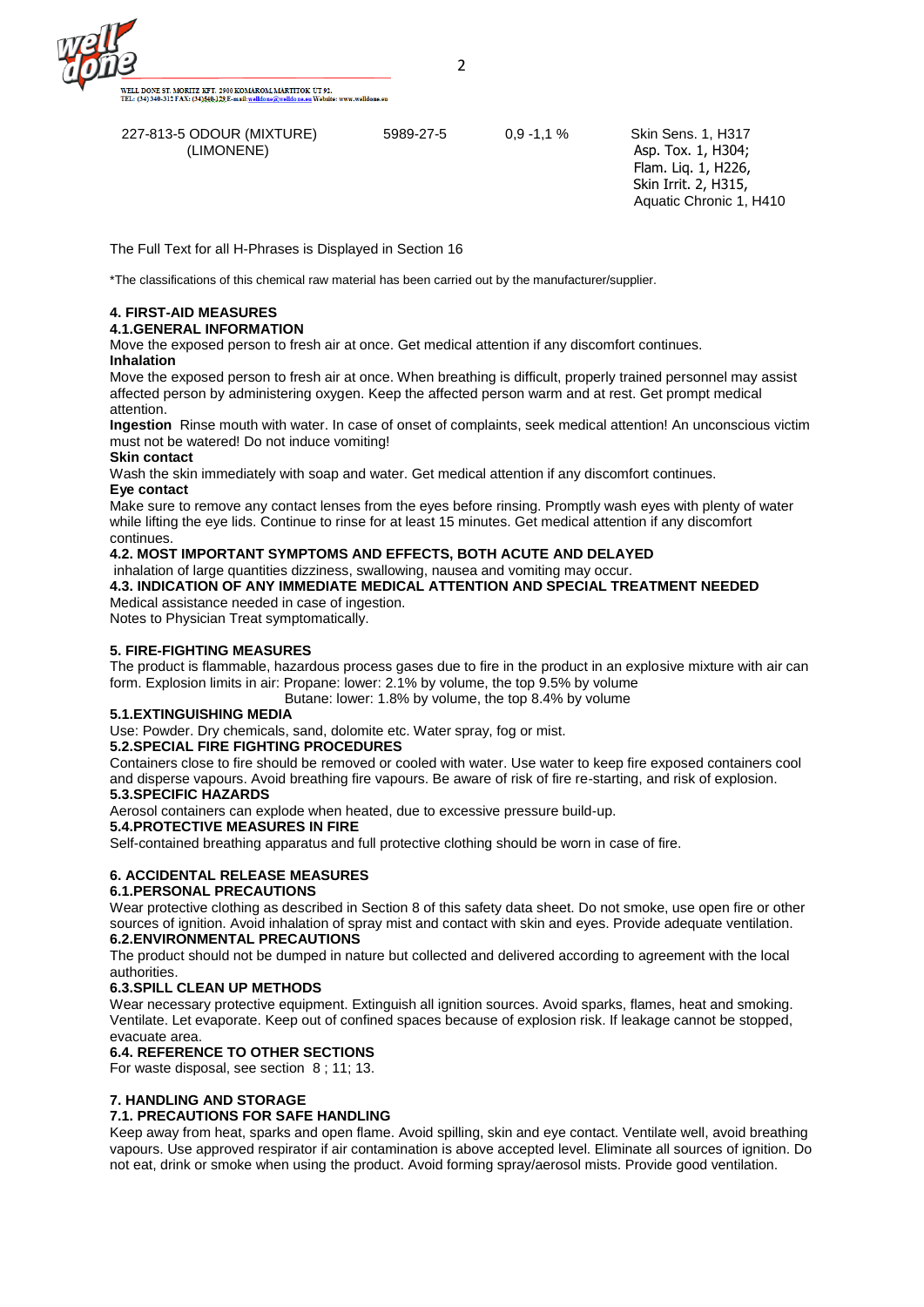.<br>WELL DONE ST. MORITZ KFT. 2900 KOMÁROM, MÁRTÍTOK ÚT 92.<br>IEL: (34) 340-312 FAX: (34)<u>540-129</u> E-mail: <u>welldone@welldone.eu</u> Website: www.welldone.eu

 227-813-5 ODOUR (MIXTURE) 5989-27-5 0,9 -1,1 % Skin Sens. 1, H317 (LIMONENE) Asp. Tox. 1, H304;

 Flam. Liq. 1, H226, Skin Irrit. 2, H315, Aquatic Chronic 1, H410

The Full Text for all H-Phrases is Displayed in Section 16

\*The classifications of this chemical raw material has been carried out by the manufacturer/supplier.

#### **4. FIRST-AID MEASURES**

#### **4.1.GENERAL INFORMATION**

Move the exposed person to fresh air at once. Get medical attention if any discomfort continues. **Inhalation**

Move the exposed person to fresh air at once. When breathing is difficult, properly trained personnel may assist affected person by administering oxygen. Keep the affected person warm and at rest. Get prompt medical attention.

**Ingestion** Rinse mouth with water. In case of onset of complaints, seek medical attention! An unconscious victim must not be watered! Do not induce vomiting!

#### **Skin contact**

Wash the skin immediately with soap and water. Get medical attention if any discomfort continues.

## **Eye contact**

Make sure to remove any contact lenses from the eyes before rinsing. Promptly wash eyes with plenty of water while lifting the eye lids. Continue to rinse for at least 15 minutes. Get medical attention if any discomfort continues.

#### **4.2. MOST IMPORTANT SYMPTOMS AND EFFECTS, BOTH ACUTE AND DELAYED**

inhalation of large quantities dizziness, swallowing, nausea and vomiting may occur. **4.3. INDICATION OF ANY IMMEDIATE MEDICAL ATTENTION AND SPECIAL TREATMENT NEEDED** Medical assistance needed in case of ingestion.

Notes to Physician Treat symptomatically.

#### **5. FIRE-FIGHTING MEASURES**

The product is flammable, hazardous process gases due to fire in the product in an explosive mixture with air can form. Explosion limits in air: Propane: lower: 2.1% by volume, the top 9.5% by volume

Butane: lower: 1.8% by volume, the top 8.4% by volume

#### **5.1.EXTINGUISHING MEDIA**

Use: Powder. Dry chemicals, sand, dolomite etc. Water spray, fog or mist.

#### **5.2.SPECIAL FIRE FIGHTING PROCEDURES**

Containers close to fire should be removed or cooled with water. Use water to keep fire exposed containers cool and disperse vapours. Avoid breathing fire vapours. Be aware of risk of fire re-starting, and risk of explosion. **5.3.SPECIFIC HAZARDS** 

Aerosol containers can explode when heated, due to excessive pressure build-up.

#### **5.4.PROTECTIVE MEASURES IN FIRE**

Self-contained breathing apparatus and full protective clothing should be worn in case of fire.

### **6. ACCIDENTAL RELEASE MEASURES**

#### **6.1.PERSONAL PRECAUTIONS**

Wear protective clothing as described in Section 8 of this safety data sheet. Do not smoke, use open fire or other sources of ignition. Avoid inhalation of spray mist and contact with skin and eyes. Provide adequate ventilation. **6.2.ENVIRONMENTAL PRECAUTIONS** 

The product should not be dumped in nature but collected and delivered according to agreement with the local authorities.

#### **6.3.SPILL CLEAN UP METHODS**

Wear necessary protective equipment. Extinguish all ignition sources. Avoid sparks, flames, heat and smoking. Ventilate. Let evaporate. Keep out of confined spaces because of explosion risk. If leakage cannot be stopped, evacuate area.

# **6.4. REFERENCE TO OTHER SECTIONS**

For waste disposal, see section 8 ; 11; 13.

### **7. HANDLING AND STORAGE**

#### **7.1. PRECAUTIONS FOR SAFE HANDLING**

Keep away from heat, sparks and open flame. Avoid spilling, skin and eye contact. Ventilate well, avoid breathing vapours. Use approved respirator if air contamination is above accepted level. Eliminate all sources of ignition. Do not eat, drink or smoke when using the product. Avoid forming spray/aerosol mists. Provide good ventilation.

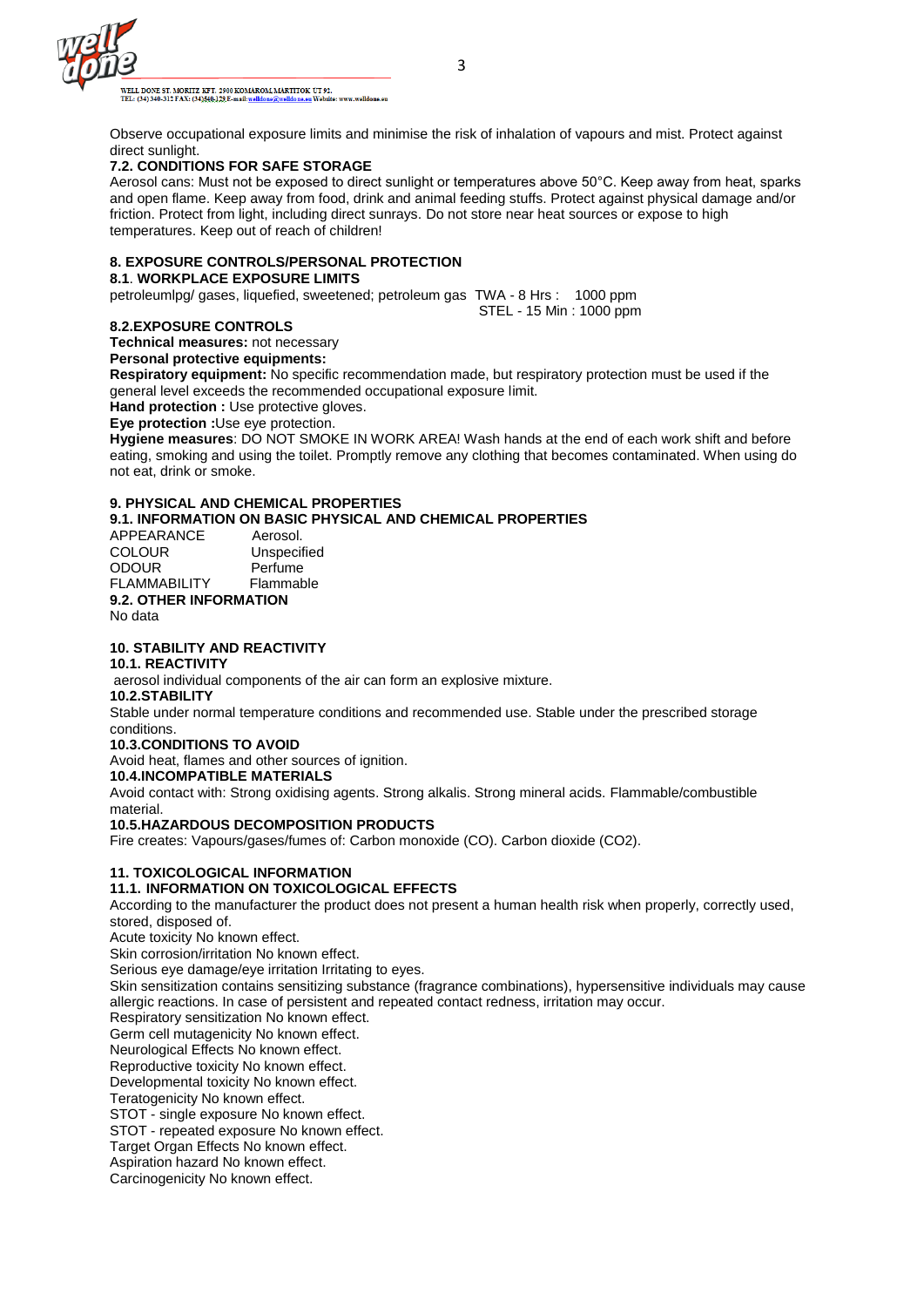

WELL DONE ST. MORITZ KFT. 2900 KOMÁROM, MÁRTÍTOK ÚT 92.<br>TEL: (34) 340-312 FAX: (34<u>)540-129</u>.E-mail:<u>welldone@welldone.eu</u> Website: wv rw.welldone.er

Observe occupational exposure limits and minimise the risk of inhalation of vapours and mist. Protect against direct sunlight.

#### **7.2. CONDITIONS FOR SAFE STORAGE**

Aerosol cans: Must not be exposed to direct sunlight or temperatures above 50°C. Keep away from heat, sparks and open flame. Keep away from food, drink and animal feeding stuffs. Protect against physical damage and/or friction. Protect from light, including direct sunrays. Do not store near heat sources or expose to high temperatures. Keep out of reach of children!

#### **8. EXPOSURE CONTROLS/PERSONAL PROTECTION**

#### **8.1**. **WORKPLACE EXPOSURE LIMITS**

petroleumlpg/ gases, liquefied, sweetened; petroleum gas TWA - 8 Hrs : 1000 ppm STEL - 15 Min : 1000 ppm

#### **8.2.EXPOSURE CONTROLS**

**Technical measures:** not necessary

**Personal protective equipments:**

**Respiratory equipment:** No specific recommendation made, but respiratory protection must be used if the general level exceeds the recommended occupational exposure limit.

**Hand protection :** Use protective gloves.

**Eye protection :**Use eye protection.

**Hygiene measures**: DO NOT SMOKE IN WORK AREA! Wash hands at the end of each work shift and before eating, smoking and using the toilet. Promptly remove any clothing that becomes contaminated. When using do not eat, drink or smoke.

# **9. PHYSICAL AND CHEMICAL PROPERTIES**

**9.1. INFORMATION ON BASIC PHYSICAL AND CHEMICAL PROPERTIES**

APPEARANCE Aerosol.<br>COLOUR Unspecif COLOUR Unspecified<br>
ODOUR
Perfume Perfume<br>Flammable FLAMMABILITY **9.2. OTHER INFORMATION** No data

**10. STABILITY AND REACTIVITY**

#### **10.1. REACTIVITY**

aerosol individual components of the air can form an explosive mixture.

## **10.2.STABILITY**

Stable under normal temperature conditions and recommended use. Stable under the prescribed storage conditions.

#### **10.3.CONDITIONS TO AVOID**

Avoid heat, flames and other sources of ignition.

#### **10.4.INCOMPATIBLE MATERIALS**

Avoid contact with: Strong oxidising agents. Strong alkalis. Strong mineral acids. Flammable/combustible material.

### **10.5.HAZARDOUS DECOMPOSITION PRODUCTS**

Fire creates: Vapours/gases/fumes of: Carbon monoxide (CO). Carbon dioxide (CO2).

### **11. TOXICOLOGICAL INFORMATION**

### **11.1. INFORMATION ON TOXICOLOGICAL EFFECTS**

According to the manufacturer the product does not present a human health risk when properly, correctly used, stored, disposed of.

Acute toxicity No known effect.

Skin corrosion/irritation No known effect.

Serious eye damage/eye irritation Irritating to eyes.

Skin sensitization contains sensitizing substance (fragrance combinations), hypersensitive individuals may cause allergic reactions. In case of persistent and repeated contact redness, irritation may occur.

Respiratory sensitization No known effect.

Germ cell mutagenicity No known effect.

Neurological Effects No known effect.

Reproductive toxicity No known effect.

Developmental toxicity No known effect.

Teratogenicity No known effect.

STOT - single exposure No known effect.

STOT - repeated exposure No known effect.

Target Organ Effects No known effect.

Aspiration hazard No known effect.

Carcinogenicity No known effect.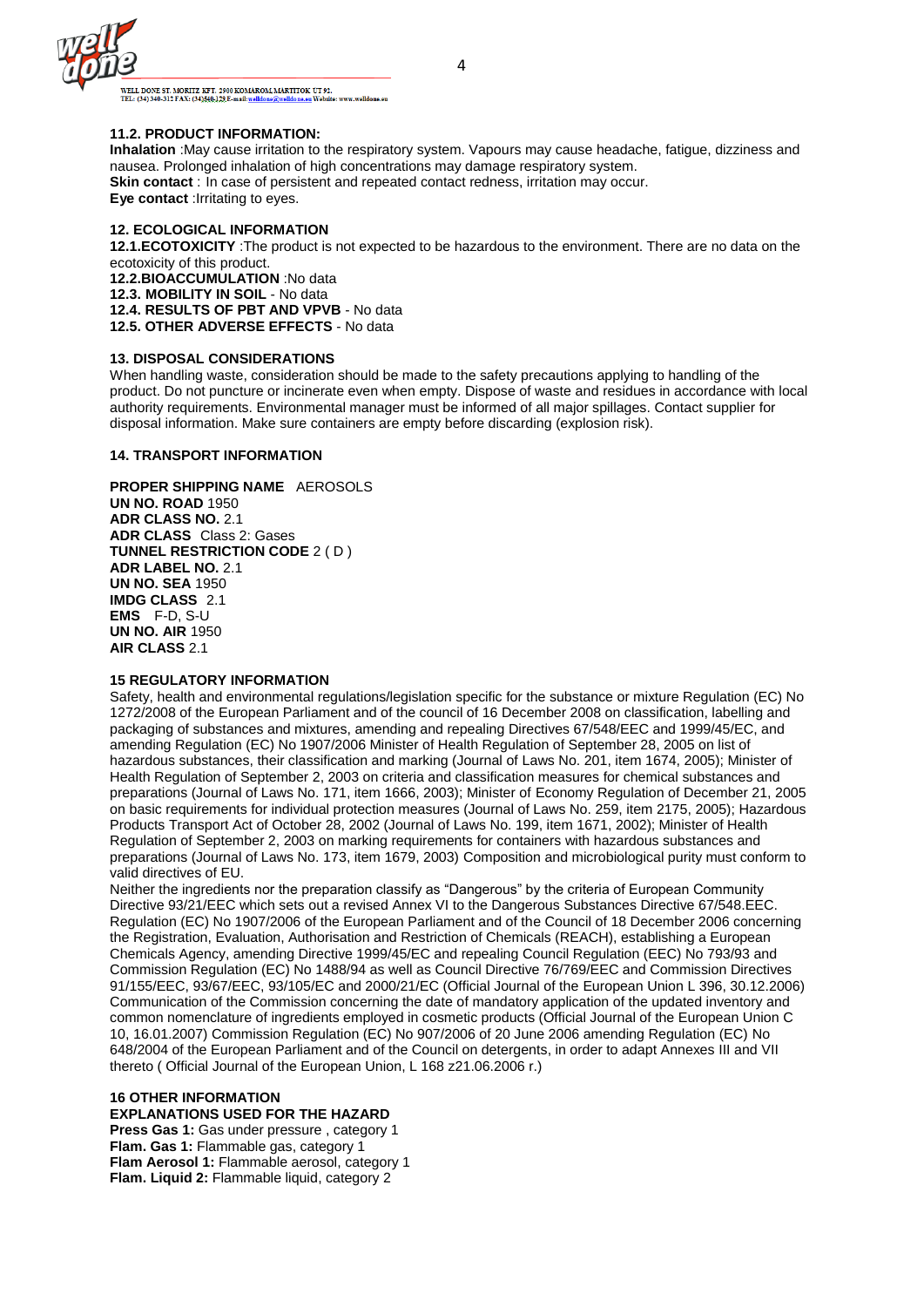

.<br>WELL DONE ST. MORITZ KFT. 2900 KOMÁROM, MÁRTÍTOK ÚT 92.<br>TEL: (34) 340-312 FAX: (34<u>)540-129 E-mail: welldone@welldone.eu</u> Website: www.welldone.eu

#### **11.2. PRODUCT INFORMATION:**

**Inhalation** :May cause irritation to the respiratory system. Vapours may cause headache, fatigue, dizziness and nausea. Prolonged inhalation of high concentrations may damage respiratory system. **Skin contact** : In case of persistent and repeated contact redness, irritation may occur. **Eye contact** :Irritating to eyes.

#### **12. ECOLOGICAL INFORMATION**

**12.1.ECOTOXICITY** :The product is not expected to be hazardous to the environment. There are no data on the ecotoxicity of this product. **12.2.BIOACCUMULATION** :No data **12.3. MOBILITY IN SOIL** - No data **12.4. RESULTS OF PBT AND VPVB** - No data **12.5. OTHER ADVERSE EFFECTS** - No data

#### **13. DISPOSAL CONSIDERATIONS**

When handling waste, consideration should be made to the safety precautions applying to handling of the product. Do not puncture or incinerate even when empty. Dispose of waste and residues in accordance with local authority requirements. Environmental manager must be informed of all major spillages. Contact supplier for disposal information. Make sure containers are empty before discarding (explosion risk).

#### **14. TRANSPORT INFORMATION**

#### **PROPER SHIPPING NAME** AEROSOLS **UN NO. ROAD** 1950 **ADR CLASS NO.** 2.1 **ADR CLASS** Class 2: Gases **TUNNEL RESTRICTION CODE** 2 ( D ) **ADR LABEL NO.** 2.1 **UN NO. SEA** 1950 **IMDG CLASS** 2.1 **EMS** F-D, S-U **UN NO. AIR** 1950 **AIR CLASS** 2.1

#### **15 REGULATORY INFORMATION**

Safety, health and environmental regulations/legislation specific for the substance or mixture Regulation (EC) No 1272/2008 of the European Parliament and of the council of 16 December 2008 on classification, labelling and packaging of substances and mixtures, amending and repealing Directives 67/548/EEC and 1999/45/EC, and amending Regulation (EC) No 1907/2006 Minister of Health Regulation of September 28, 2005 on list of hazardous substances, their classification and marking (Journal of Laws No. 201, item 1674, 2005); Minister of Health Regulation of September 2, 2003 on criteria and classification measures for chemical substances and preparations (Journal of Laws No. 171, item 1666, 2003); Minister of Economy Regulation of December 21, 2005 on basic requirements for individual protection measures (Journal of Laws No. 259, item 2175, 2005); Hazardous Products Transport Act of October 28, 2002 (Journal of Laws No. 199, item 1671, 2002); Minister of Health Regulation of September 2, 2003 on marking requirements for containers with hazardous substances and preparations (Journal of Laws No. 173, item 1679, 2003) Composition and microbiological purity must conform to valid directives of EU.

Neither the ingredients nor the preparation classify as "Dangerous" by the criteria of European Community Directive 93/21/EEC which sets out a revised Annex VI to the Dangerous Substances Directive 67/548.EEC. Regulation (EC) No 1907/2006 of the European Parliament and of the Council of 18 December 2006 concerning the Registration, Evaluation, Authorisation and Restriction of Chemicals (REACH), establishing a European Chemicals Agency, amending Directive 1999/45/EC and repealing Council Regulation (EEC) No 793/93 and Commission Regulation (EC) No 1488/94 as well as Council Directive 76/769/EEC and Commission Directives 91/155/EEC, 93/67/EEC, 93/105/EC and 2000/21/EC (Official Journal of the European Union L 396, 30.12.2006) Communication of the Commission concerning the date of mandatory application of the updated inventory and common nomenclature of ingredients employed in cosmetic products (Official Journal of the European Union C 10, 16.01.2007) Commission Regulation (EC) No 907/2006 of 20 June 2006 amending Regulation (EC) No 648/2004 of the European Parliament and of the Council on detergents, in order to adapt Annexes III and VII thereto ( Official Journal of the European Union, L 168 z21.06.2006 r.)

#### **16 OTHER INFORMATION EXPLANATIONS USED FOR THE HAZARD**

**Press Gas 1:** Gas under pressure , category 1 **Flam. Gas 1:** Flammable gas, category 1 **Flam Aerosol 1:** Flammable aerosol, category 1 **Flam. Liquid 2:** Flammable liquid, category 2